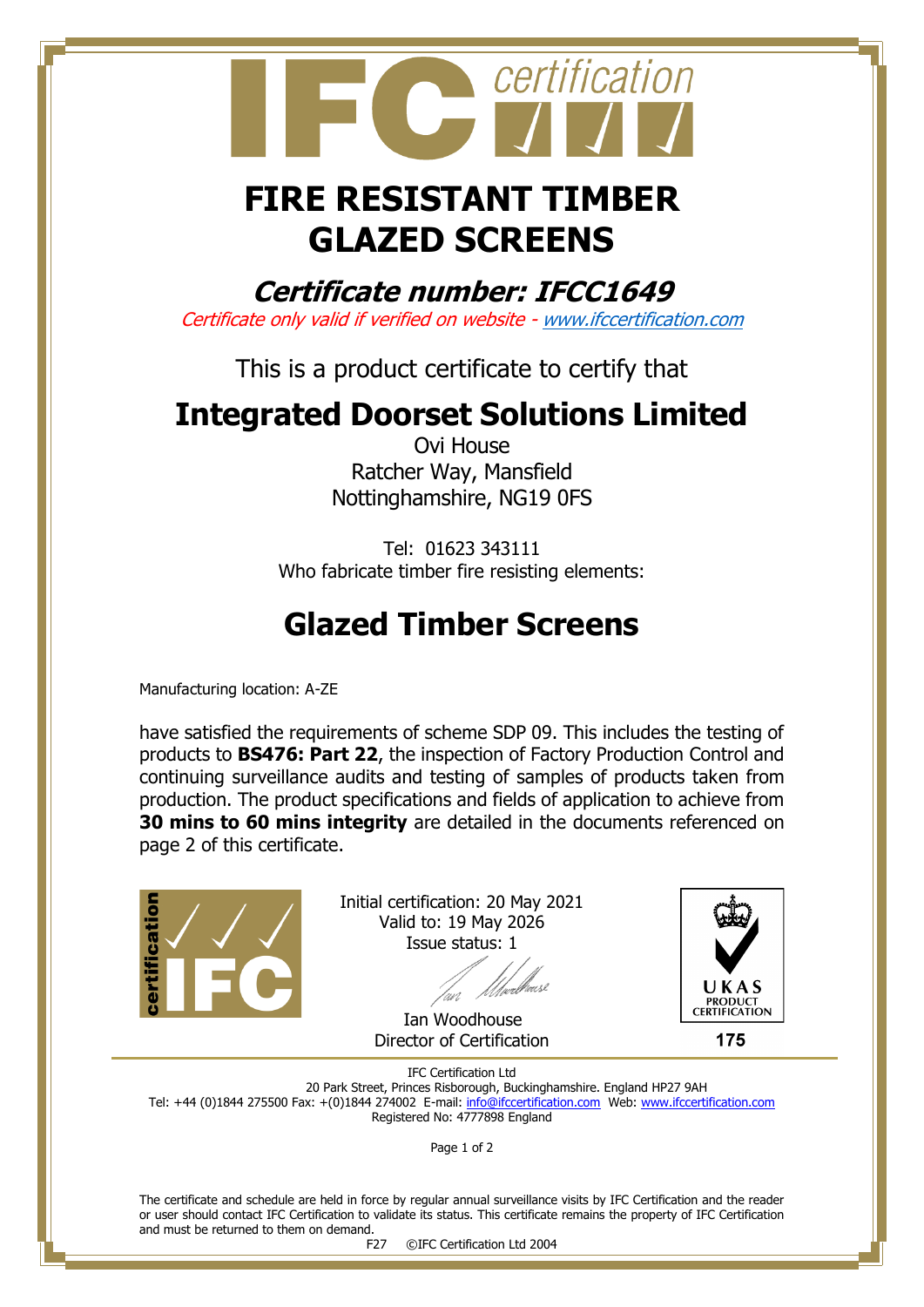

## **FIRE RESISTANT TIMBER GLAZED SCREENS**

**Certificate number: IFCC1649**

Certificate only valid if verified on website - [www.ifccertification.com](http://www.ifccertification.com/)

This is a product certificate to certify that

## **Integrated Doorset Solutions Limited**

Ovi House Ratcher Way, Mansfield Nottinghamshire, NG19 0FS

Tel: 01623 343111 Who fabricate timber fire resisting elements:

## **Glazed Timber Screens**

Manufacturing location: A-ZE

have satisfied the requirements of scheme SDP 09. This includes the testing of products to **BS476: Part 22**, the inspection of Factory Production Control and continuing surveillance audits and testing of samples of products taken from production. The product specifications and fields of application to achieve from **30 mins to 60 mins integrity** are detailed in the documents referenced on page 2 of this certificate.



Initial certification: 20 May 2021 Valid to: 19 May 2026 Issue status: 1

 Ian Woodhouse Director of Certification



175

IFC Certification Ltd 20 Park Street, Princes Risborough, Buckinghamshire. England HP27 9AH Tel: +44 (0)1844 275500 Fax: +(0)1844 274002 E-mail[: info@ifccertification.com](mailto:info@ifccertification.com) Web: [www.ifccertification.com](http://www.ifccertification.com/) Registered No: 4777898 England

Page 1 of 2

The certificate and schedule are held in force by regular annual surveillance visits by IFC Certification and the reader or user should contact IFC Certification to validate its status. This certificate remains the property of IFC Certification and must be returned to them on demand.<br>F27

©IFC Certification Ltd 2004